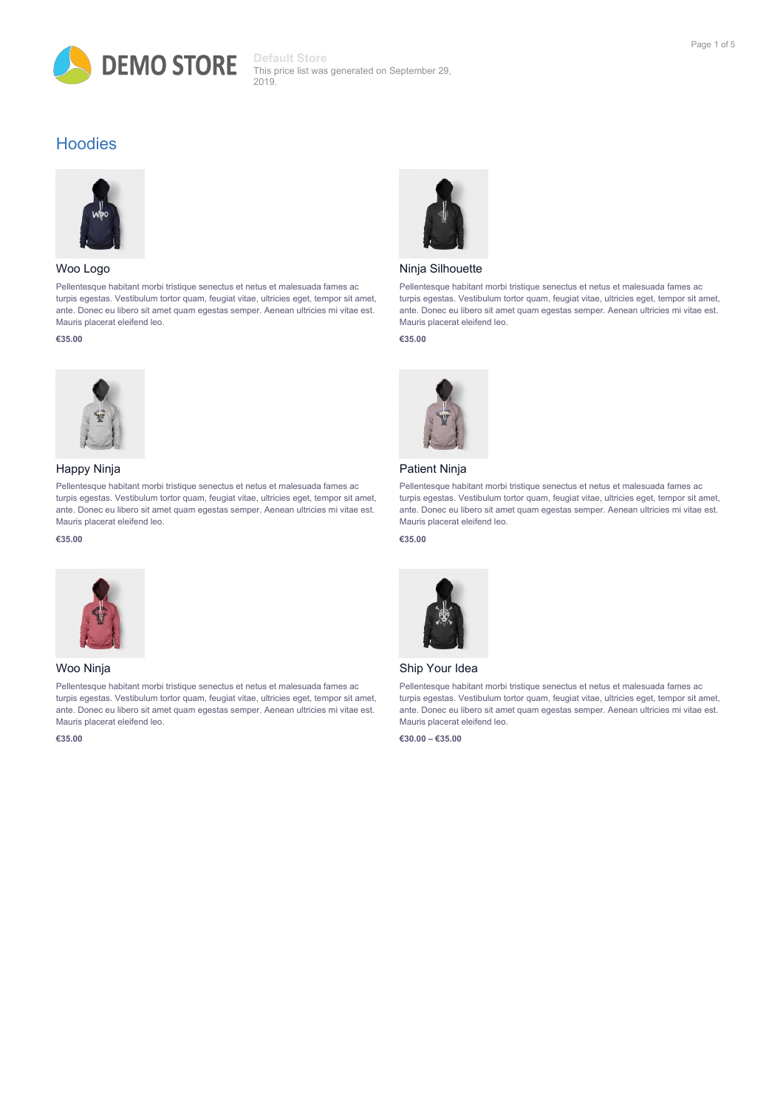

## **Hoodies**



#### Woo Logo

Pellentesque habitant morbi tristique senectus et netus et malesuada fames ac turpis egestas. Vestibulum tortor quam, feugiat vitae, ultricies eget, tempor sit amet, ante. Donec eu libero sit amet quam egestas semper. Aenean ultricies mi vitae est. Mauris placerat eleifend leo.

#### **€35.00**



## Happy Ninja

Pellentesque habitant morbi tristique senectus et netus et malesuada fames ac turpis egestas. Vestibulum tortor quam, feugiat vitae, ultricies eget, tempor sit amet, ante. Donec eu libero sit amet quam egestas semper. Aenean ultricies mi vitae est. Mauris placerat eleifend leo.

#### **€35.00**



### Woo Ninja

Pellentesque habitant morbi tristique senectus et netus et malesuada fames ac turpis egestas. Vestibulum tortor quam, feugiat vitae, ultricies eget, tempor sit amet, ante. Donec eu libero sit amet quam egestas semper. Aenean ultricies mi vitae est. Mauris placerat eleifend leo.

**€35.00**



#### Ninja Silhouette

Pellentesque habitant morbi tristique senectus et netus et malesuada fames ac turpis egestas. Vestibulum tortor quam, feugiat vitae, ultricies eget, tempor sit amet, ante. Donec eu libero sit amet quam egestas semper. Aenean ultricies mi vitae est. Mauris placerat eleifend leo.

#### **€35.00**



## Patient Ninja

Pellentesque habitant morbi tristique senectus et netus et malesuada fames ac turpis egestas. Vestibulum tortor quam, feugiat vitae, ultricies eget, tempor sit amet, ante. Donec eu libero sit amet quam egestas semper. Aenean ultricies mi vitae est. Mauris placerat eleifend leo.

## **€35.00**



#### Ship Your Idea

Pellentesque habitant morbi tristique senectus et netus et malesuada fames ac turpis egestas. Vestibulum tortor quam, feugiat vitae, ultricies eget, tempor sit amet, ante. Donec eu libero sit amet quam egestas semper. Aenean ultricies mi vitae est. Mauris placerat eleifend leo.

**€30.00 – €35.00**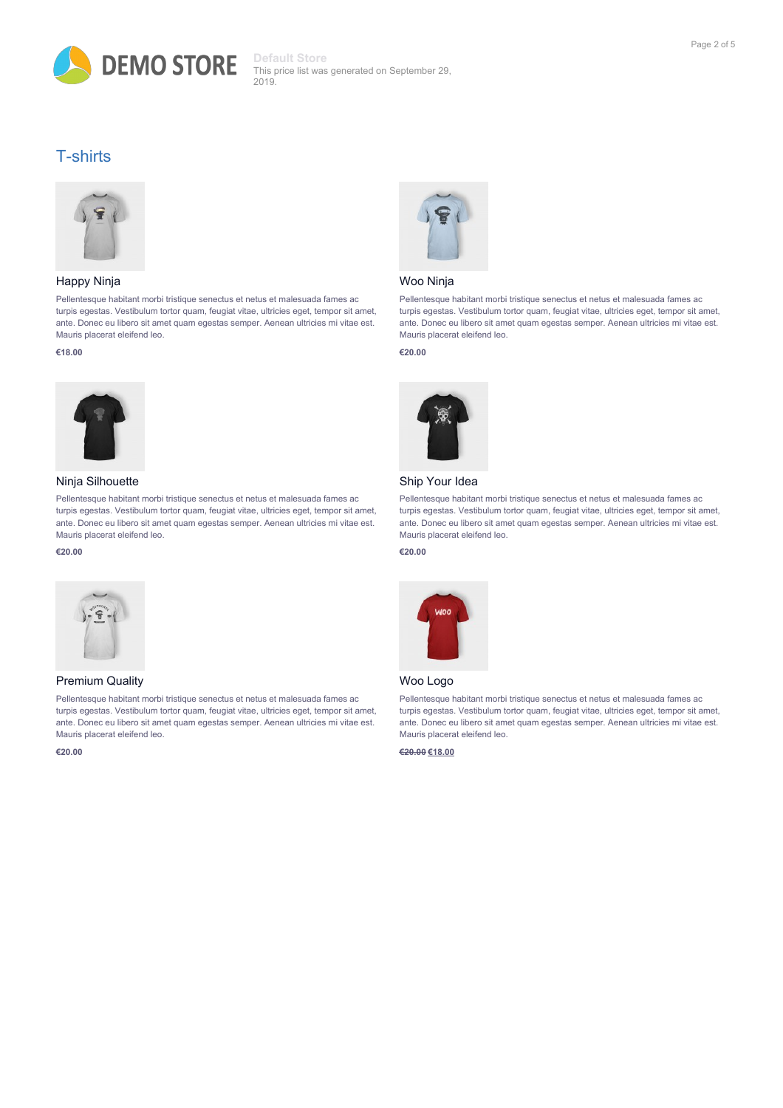

## T-shirts



## Happy Ninja

Pellentesque habitant morbi tristique senectus et netus et malesuada fames ac turpis egestas. Vestibulum tortor quam, feugiat vitae, ultricies eget, tempor sit amet, ante. Donec eu libero sit amet quam egestas semper. Aenean ultricies mi vitae est. Mauris placerat eleifend leo.

#### **€18.00**



## Ninja Silhouette

Pellentesque habitant morbi tristique senectus et netus et malesuada fames ac turpis egestas. Vestibulum tortor quam, feugiat vitae, ultricies eget, tempor sit amet, ante. Donec eu libero sit amet quam egestas semper. Aenean ultricies mi vitae est. Mauris placerat eleifend leo.

#### **€20.00**



#### Premium Quality

Pellentesque habitant morbi tristique senectus et netus et malesuada fames ac turpis egestas. Vestibulum tortor quam, feugiat vitae, ultricies eget, tempor sit amet, ante. Donec eu libero sit amet quam egestas semper. Aenean ultricies mi vitae est. Mauris placerat eleifend leo.

**€20.00**



## Woo Ninja

Pellentesque habitant morbi tristique senectus et netus et malesuada fames ac turpis egestas. Vestibulum tortor quam, feugiat vitae, ultricies eget, tempor sit amet, ante. Donec eu libero sit amet quam egestas semper. Aenean ultricies mi vitae est. Mauris placerat eleifend leo.

## **€20.00**



## Ship Your Idea

Pellentesque habitant morbi tristique senectus et netus et malesuada fames ac turpis egestas. Vestibulum tortor quam, feugiat vitae, ultricies eget, tempor sit amet, ante. Donec eu libero sit amet quam egestas semper. Aenean ultricies mi vitae est. Mauris placerat eleifend leo.

#### **€20.00**



### Woo Logo

Pellentesque habitant morbi tristique senectus et netus et malesuada fames ac turpis egestas. Vestibulum tortor quam, feugiat vitae, ultricies eget, tempor sit amet, ante. Donec eu libero sit amet quam egestas semper. Aenean ultricies mi vitae est. Mauris placerat eleifend leo.

**€20.00 €18.00**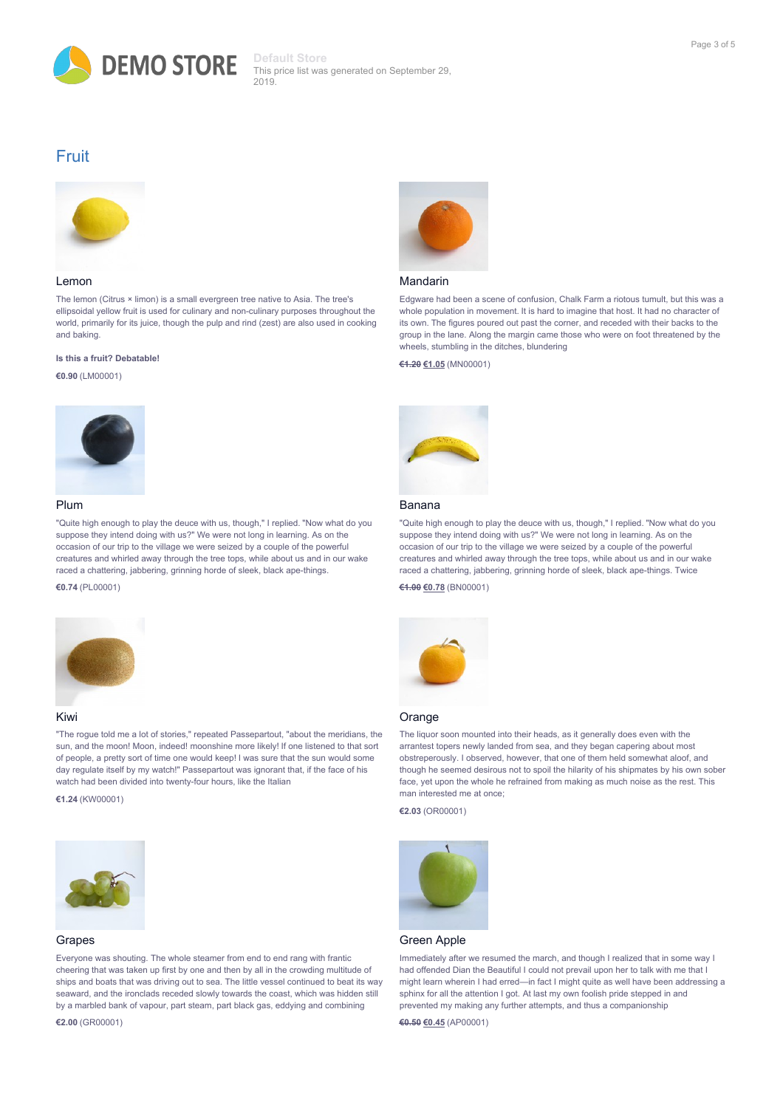

## Fruit



#### Lemon

The lemon (Citrus × limon) is a small evergreen tree native to Asia. The tree's ellipsoidal yellow fruit is used for culinary and non-culinary purposes throughout the world, primarily for its juice, though the pulp and rind (zest) are also used in cooking and baking.

#### **Is this a fruit? Debatable!**

**€0.90** (LM00001)



#### Plum

"Quite high enough to play the deuce with us, though," I replied. "Now what do you suppose they intend doing with us?" We were not long in learning. As on the occasion of our trip to the village we were seized by a couple of the powerful creatures and whirled away through the tree tops, while about us and in our wake raced a chattering, jabbering, grinning horde of sleek, black ape-things.

#### **€0.74** (PL00001)



#### Kiwi

"The rogue told me a lot of stories," repeated Passepartout, "about the meridians, the sun, and the moon! Moon, indeed! moonshine more likely! If one listened to that sort of people, a pretty sort of time one would keep! I was sure that the sun would some day regulate itself by my watch!" Passepartout was ignorant that, if the face of his watch had been divided into twenty-four hours, like the Italian

**€1.24** (KW00001)



#### Grapes

Everyone was shouting. The whole steamer from end to end rang with frantic cheering that was taken up first by one and then by all in the crowding multitude of ships and boats that was driving out to sea. The little vessel continued to beat its way seaward, and the ironclads receded slowly towards the coast, which was hidden still by a marbled bank of vapour, part steam, part black gas, eddying and combining

#### **€2.00** (GR00001)



#### Mandarin

Edgware had been a scene of confusion, Chalk Farm a riotous tumult, but this was a whole population in movement. It is hard to imagine that host. It had no character of its own. The figures poured out past the corner, and receded with their backs to the group in the lane. Along the margin came those who were on foot threatened by the wheels, stumbling in the ditches, blundering

#### **€1.20 €1.05** (MN00001)



#### Banana

"Quite high enough to play the deuce with us, though," I replied. "Now what do you suppose they intend doing with us?" We were not long in learning. As on the occasion of our trip to the village we were seized by a couple of the powerful creatures and whirled away through the tree tops, while about us and in our wake raced a chattering, jabbering, grinning horde of sleek, black ape-things. Twice

#### **€1.00 €0.78** (BN00001)



#### **Orange**

The liquor soon mounted into their heads, as it generally does even with the arrantest topers newly landed from sea, and they began capering about most obstreperously. I observed, however, that one of them held somewhat aloof, and though he seemed desirous not to spoil the hilarity of his shipmates by his own sober face, yet upon the whole he refrained from making as much noise as the rest. This man interested me at once;

**€2.03** (OR00001)



#### Green Apple

Immediately after we resumed the march, and though I realized that in some way I had offended Dian the Beautiful I could not prevail upon her to talk with me that I might learn wherein I had erred—in fact I might quite as well have been addressing a sphinx for all the attention I got. At last my own foolish pride stepped in and prevented my making any further attempts, and thus a companionship

**€0.50 €0.45** (AP00001)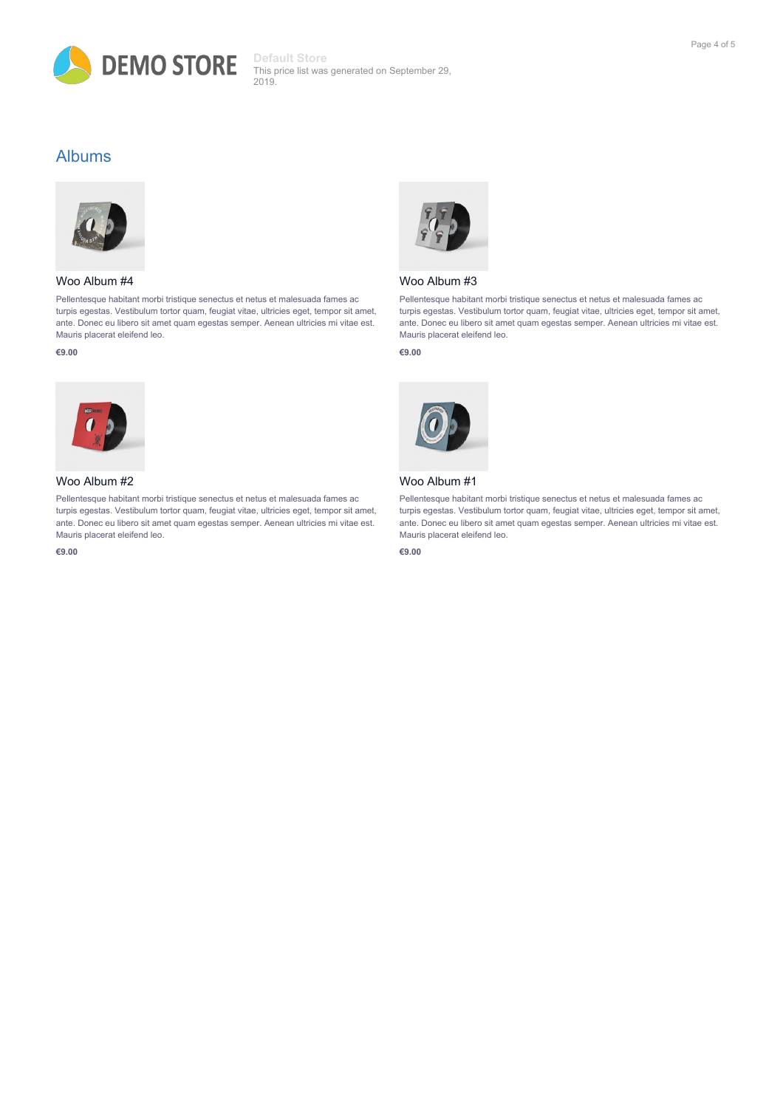

## Albums



## Woo Album #4

Pellentesque habitant morbi tristique senectus et netus et malesuada fames ac turpis egestas. Vestibulum tortor quam, feugiat vitae, ultricies eget, tempor sit amet, ante. Donec eu libero sit amet quam egestas semper. Aenean ultricies mi vitae est. Mauris placerat eleifend leo.

#### **€9.00**



## Woo Album #2

Pellentesque habitant morbi tristique senectus et netus et malesuada fames ac turpis egestas. Vestibulum tortor quam, feugiat vitae, ultricies eget, tempor sit amet, ante. Donec eu libero sit amet quam egestas semper. Aenean ultricies mi vitae est. Mauris placerat eleifend leo.

**€9.00**



## Woo Album #3

Pellentesque habitant morbi tristique senectus et netus et malesuada fames ac turpis egestas. Vestibulum tortor quam, feugiat vitae, ultricies eget, tempor sit amet, ante. Donec eu libero sit amet quam egestas semper. Aenean ultricies mi vitae est. Mauris placerat eleifend leo.

#### **€9.00**



## Woo Album #1

Pellentesque habitant morbi tristique senectus et netus et malesuada fames ac turpis egestas. Vestibulum tortor quam, feugiat vitae, ultricies eget, tempor sit amet, ante. Donec eu libero sit amet quam egestas semper. Aenean ultricies mi vitae est. Mauris placerat eleifend leo.

**€9.00**